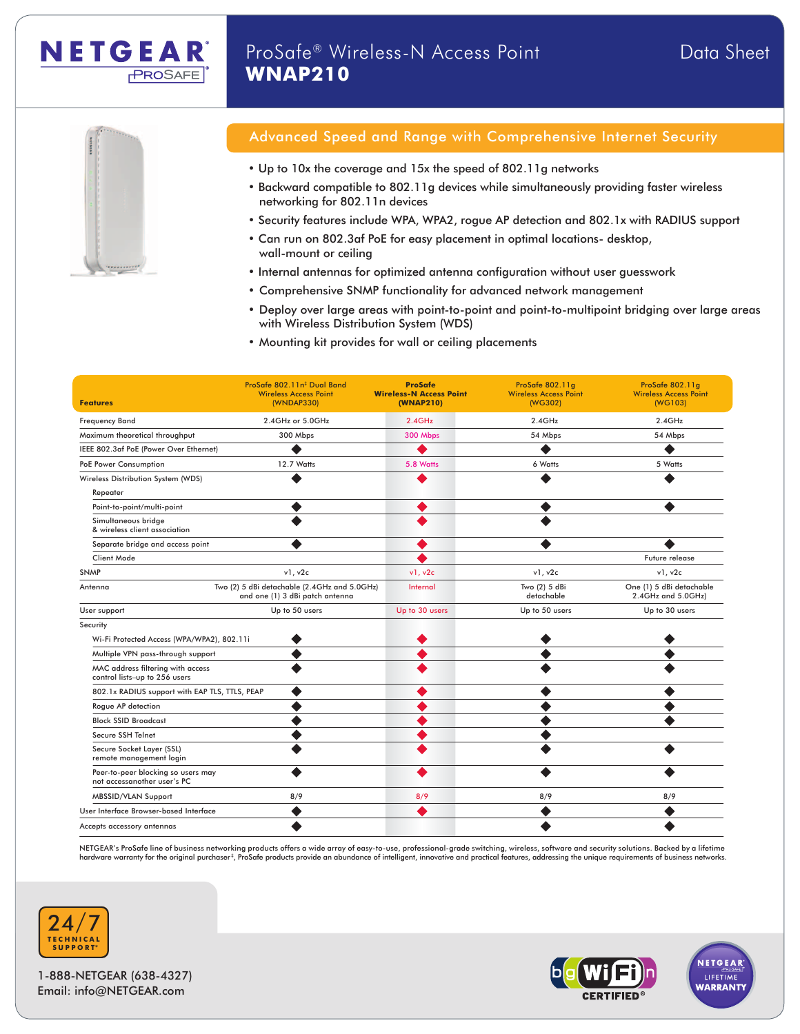



NETGEAR

**PROSAFE** 

# Advanced Speed and Range with Comprehensive Internet Security

- Up to 10x the coverage and 15x the speed of 802.11g networks
- Backward compatible to 802.11g devices while simultaneously providing faster wireless networking for 802.11n devices
- Security features include WPA, WPA2, rogue AP detection and 802.1x with RADIUS support
- Can run on 802.3af PoE for easy placement in optimal locations- desktop, wall-mount or ceiling
- Internal antennas for optimized antenna configuration without user guesswork
- Comprehensive SNMP functionality for advanced network management
- Deploy over large areas with point-to-point and point-to-multipoint bridging over large areas with Wireless Distribution System (WDS)
- Mounting kit provides for wall or ceiling placements

| <b>Features</b>                                                    | ProSafe 802.11n <sup>#</sup> Dual Band<br><b>Wireless Access Point</b><br>(WNDAP330) | <b>ProSafe</b><br><b>Wireless-N Access Point</b><br>(WNAP210) | ProSafe 802.11q<br><b>Wireless Access Point</b><br>(WG302) | ProSafe 802.11q<br><b>Wireless Access Point</b><br>(WG103) |
|--------------------------------------------------------------------|--------------------------------------------------------------------------------------|---------------------------------------------------------------|------------------------------------------------------------|------------------------------------------------------------|
| <b>Frequency Band</b>                                              | 2.4GHz or 5.0GHz                                                                     | 2.4GHz                                                        | $2.4$ GHz                                                  | $2.4$ GHz                                                  |
| Maximum theoretical throughput                                     | 300 Mbps                                                                             | 300 Mbps                                                      | 54 Mbps                                                    | 54 Mbps                                                    |
| IEEE 802.3af PoE (Power Over Ethernet)                             | $\bullet$                                                                            | $\bullet$                                                     | $\bullet$                                                  | $\bullet$                                                  |
| PoE Power Consumption                                              | 12.7 Watts                                                                           | 5.8 Watts                                                     | 6 Watts                                                    | 5 Watts                                                    |
| Wireless Distribution System (WDS)<br>Repeater                     | $\bullet$                                                                            | $\bullet$                                                     | $\bullet$                                                  | $\bullet$                                                  |
| Point-to-point/multi-point                                         | $\bullet$                                                                            | $\bullet$                                                     | $\bullet$                                                  | $\bullet$                                                  |
| Simultaneous bridge<br>& wireless client association               | $\bullet$                                                                            | $\bullet$                                                     | $\bullet$                                                  |                                                            |
| Separate bridge and access point                                   | $\bullet$                                                                            | $\bullet$                                                     | $\bullet$                                                  | $\bullet$                                                  |
| <b>Client Mode</b>                                                 |                                                                                      | $\bullet$                                                     |                                                            | Future release                                             |
| <b>SNMP</b>                                                        | v1, v2c                                                                              | v1. v2c                                                       | v1, v2c                                                    | v1, v2c                                                    |
| Antenna                                                            | Two (2) 5 dBi detachable (2.4GHz and 5.0GHz)<br>and one (1) 3 dBi patch antenna      | Internal                                                      | Two (2) 5 dBi<br>detachable                                | One (1) 5 dBi detachable<br>2.4GHz and 5.0GHz)             |
| User support                                                       | Up to 50 users                                                                       | Up to 30 users                                                | Up to 50 users                                             | Up to 30 users                                             |
| Security                                                           |                                                                                      |                                                               |                                                            |                                                            |
| $\bullet$<br>Wi-Fi Protected Access (WPA/WPA2), 802.11i            |                                                                                      | $\bullet$                                                     | $\bullet$                                                  | $\bullet$                                                  |
| Multiple VPN pass-through support                                  | $\bullet$                                                                            | $\bullet$                                                     | $\bullet$                                                  | $\bullet$                                                  |
| MAC address filtering with access<br>control lists-up to 256 users | $\bullet$                                                                            | $\bullet$                                                     | $\bullet$                                                  | $\bullet$                                                  |
| 802.1x RADIUS support with EAP TLS, TTLS, PEAP                     | $\bullet$                                                                            | $\bullet$                                                     | $\bullet$                                                  | $\bullet$                                                  |
| Rogue AP detection                                                 | $\bullet$                                                                            | $\bullet$                                                     | $\bullet$                                                  | $\bullet$                                                  |
| <b>Block SSID Broadcast</b>                                        | $\bullet$                                                                            | $\bullet$                                                     | $\bullet$                                                  | $\bullet$                                                  |
| Secure SSH Telnet                                                  | $\bullet$                                                                            | $\bullet$                                                     | $\bullet$                                                  |                                                            |
| Secure Socket Layer (SSL)<br>remote management login               | $\bullet$                                                                            | $\bullet$                                                     | $\bullet$                                                  | $\bullet$                                                  |
| Peer-to-peer blocking so users may<br>not accessanother user's PC  | $\bullet$                                                                            | $\bullet$                                                     | $\bullet$                                                  | $\bullet$                                                  |
| <b>MBSSID/VLAN Support</b>                                         | 8/9                                                                                  | 8/9                                                           | 8/9                                                        | 8/9                                                        |
| User Interface Browser-based Interface                             | $\bullet$                                                                            | $\bullet$                                                     | $\bullet$                                                  | $\bullet$                                                  |
| Accepts accessory antennas                                         | $\bullet$                                                                            |                                                               | $\bullet$                                                  | $\bullet$                                                  |

NETGEAR's ProSafe line of business networking products offers a wide array of easy-to-use, professional-grade switching, wireless, software and security solutions. Backed by a lifetime<br>hardware warranty for the original pu



1-888-NETGEAR (638-4327) Email: info@NETGEAR.com